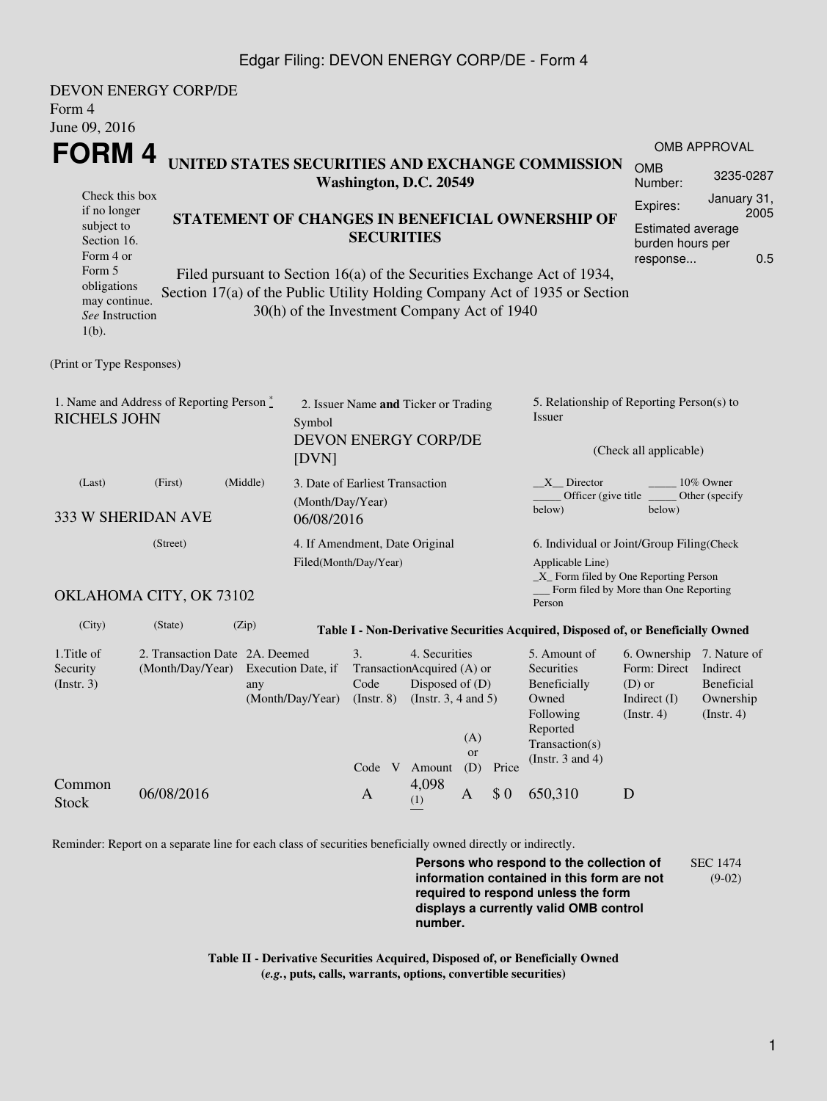## Edgar Filing: DEVON ENERGY CORP/DE - Form 4

| Form 4<br>June 09, 2016                                                                                                                          | <b>DEVON ENERGY CORP/DE</b>                        |       |                                             |                                                                                             |              |                                           |                       |                                                                                                                                                       |                                                                                                              |                                                                            |  |  |
|--------------------------------------------------------------------------------------------------------------------------------------------------|----------------------------------------------------|-------|---------------------------------------------|---------------------------------------------------------------------------------------------|--------------|-------------------------------------------|-----------------------|-------------------------------------------------------------------------------------------------------------------------------------------------------|--------------------------------------------------------------------------------------------------------------|----------------------------------------------------------------------------|--|--|
| FORM 4                                                                                                                                           |                                                    |       |                                             |                                                                                             |              |                                           |                       |                                                                                                                                                       |                                                                                                              | <b>OMB APPROVAL</b>                                                        |  |  |
| UNITED STATES SECURITIES AND EXCHANGE COMMISSION<br>Washington, D.C. 20549                                                                       |                                                    |       |                                             |                                                                                             |              |                                           | <b>OMB</b><br>Number: | 3235-0287                                                                                                                                             |                                                                                                              |                                                                            |  |  |
| Check this box<br>if no longer<br>STATEMENT OF CHANGES IN BENEFICIAL OWNERSHIP OF<br>subject to<br><b>SECURITIES</b><br>Section 16.<br>Form 4 or |                                                    |       |                                             |                                                                                             |              |                                           |                       |                                                                                                                                                       | Expires:<br>response                                                                                         | January 31,<br>2005<br><b>Estimated average</b><br>burden hours per<br>0.5 |  |  |
| Form 5<br>obligations<br>may continue.<br>See Instruction<br>$1(b)$ .                                                                            |                                                    |       | 30(h) of the Investment Company Act of 1940 |                                                                                             |              |                                           |                       | Filed pursuant to Section 16(a) of the Securities Exchange Act of 1934,<br>Section 17(a) of the Public Utility Holding Company Act of 1935 or Section |                                                                                                              |                                                                            |  |  |
| (Print or Type Responses)                                                                                                                        |                                                    |       |                                             |                                                                                             |              |                                           |                       |                                                                                                                                                       |                                                                                                              |                                                                            |  |  |
| 1. Name and Address of Reporting Person *<br><b>RICHELS JOHN</b>                                                                                 |                                                    |       | Symbol<br>[DVN]                             | 2. Issuer Name and Ticker or Trading<br>DEVON ENERGY CORP/DE                                |              |                                           |                       | 5. Relationship of Reporting Person(s) to<br>Issuer<br>(Check all applicable)                                                                         |                                                                                                              |                                                                            |  |  |
| (Middle)<br>(Last)<br>(First)<br>(Month/Day/Year)<br>333 W SHERIDAN AVE<br>06/08/2016                                                            |                                                    |       |                                             | 3. Date of Earliest Transaction                                                             |              |                                           |                       | $X$ Director<br>10% Owner<br>Officer (give title<br>Other (specify<br>below)<br>below)                                                                |                                                                                                              |                                                                            |  |  |
| (Street)                                                                                                                                         |                                                    |       |                                             | 4. If Amendment, Date Original<br>Filed(Month/Day/Year)                                     |              |                                           |                       | 6. Individual or Joint/Group Filing(Check<br>Applicable Line)<br>_X_ Form filed by One Reporting Person                                               |                                                                                                              |                                                                            |  |  |
|                                                                                                                                                  | OKLAHOMA CITY, OK 73102                            |       |                                             |                                                                                             |              |                                           |                       | __ Form filed by More than One Reporting<br>Person                                                                                                    |                                                                                                              |                                                                            |  |  |
| (City)                                                                                                                                           | (State)                                            | (Zip) |                                             |                                                                                             |              |                                           |                       | Table I - Non-Derivative Securities Acquired, Disposed of, or Beneficially Owned                                                                      |                                                                                                              |                                                                            |  |  |
| 1. Title of<br>Security<br>$($ Instr. 3 $)$                                                                                                      | 2. Transaction Date 2A. Deemed<br>(Month/Day/Year) | any   | Execution Date, if                          | 3.<br>TransactionAcquired (A) or<br>Code<br>(Month/Day/Year) (Instr. 8) (Instr. 3, 4 and 5) |              | 4. Securities<br>Disposed of $(D)$<br>(A) |                       | 5. Amount of<br>Securities<br>Beneficially<br>Owned<br>Following<br>Reported<br>Transaction(s)                                                        | 6. Ownership 7. Nature of<br>Form: Direct Indirect<br>$(D)$ or<br>Indirect (I) Ownership<br>$($ Instr. 4 $)$ | <b>Beneficial</b><br>$($ Instr. 4 $)$                                      |  |  |
| Common<br><b>Stock</b>                                                                                                                           | 06/08/2016                                         |       |                                             | Code V Amount<br>$\mathbf{A}$                                                               | 4,098<br>(1) | <b>or</b><br>(D)<br>A                     | Price<br>\$0          | (Instr. 3 and 4)<br>650,310                                                                                                                           | $\mathbf D$                                                                                                  |                                                                            |  |  |

Reminder: Report on a separate line for each class of securities beneficially owned directly or indirectly.

**Persons who respond to the collection of information contained in this form are not required to respond unless the form displays a currently valid OMB control number.** SEC 1474 (9-02)

**Table II - Derivative Securities Acquired, Disposed of, or Beneficially Owned (***e.g.***, puts, calls, warrants, options, convertible securities)**